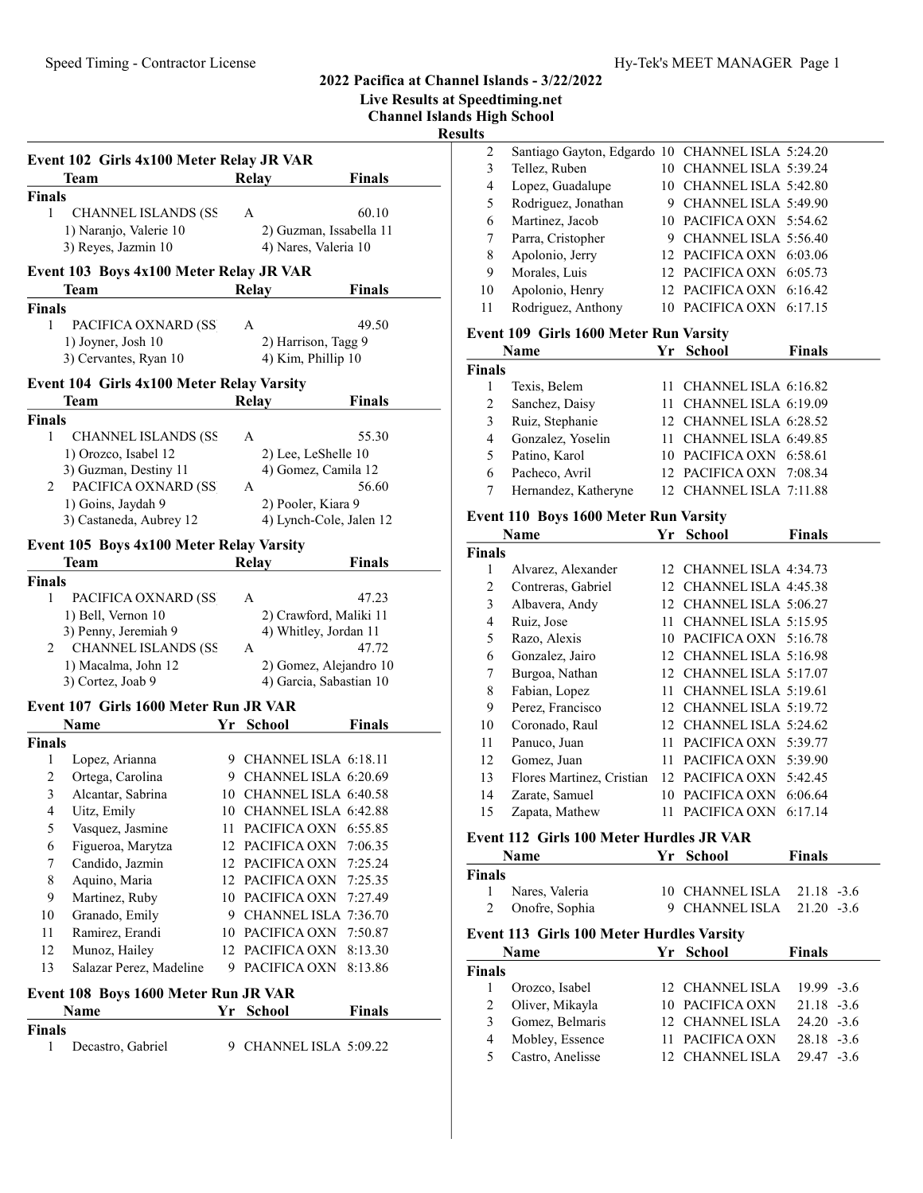Live Results at Speedtiming.net

Channel Islands High School

Result

|               | Event 102 Girls 4x100 Meter Relay JR VAR      |     |                         |                         | <b>Finals</b> |
|---------------|-----------------------------------------------|-----|-------------------------|-------------------------|---------------|
|               | Team                                          |     | <b>Relay</b>            |                         |               |
| <b>Finals</b> |                                               |     |                         |                         |               |
| 1             | <b>CHANNEL ISLANDS (SS</b>                    |     | A                       |                         | 60.10         |
|               | 1) Naranjo, Valerie 10<br>3) Reyes, Jazmin 10 |     |                         | 2) Guzman, Issabella 11 |               |
|               |                                               |     |                         | 4) Nares, Valeria 10    |               |
|               | Event 103 Boys 4x100 Meter Relay JR VAR       |     |                         |                         |               |
|               | Team                                          |     | Relay                   |                         | <b>Finals</b> |
| <b>Finals</b> |                                               |     |                         |                         |               |
| $\mathbf{1}$  | PACIFICA OXNARD (SS                           |     | A                       |                         | 49.50         |
|               | 1) Joyner, Josh 10                            |     |                         | 2) Harrison, Tagg 9     |               |
|               | 3) Cervantes, Ryan 10                         |     |                         | 4) Kim, Phillip 10      |               |
|               | Event 104 Girls 4x100 Meter Relay Varsity     |     |                         |                         |               |
|               | Team                                          |     | <b>Relay</b>            |                         | Finals        |
| <b>Finals</b> |                                               |     |                         |                         |               |
| 1             | <b>CHANNEL ISLANDS (SS</b>                    |     | A                       |                         | 55.30         |
|               | 1) Orozco, Isabel 12                          |     |                         | 2) Lee, LeShelle 10     |               |
|               | 3) Guzman, Destiny 11                         |     |                         | 4) Gomez, Camila 12     |               |
| 2             | PACIFICA OXNARD (SS                           |     | A                       |                         | 56.60         |
|               | 1) Goins, Jaydah 9                            |     |                         | 2) Pooler, Kiara 9      |               |
|               | 3) Castaneda, Aubrey 12                       |     |                         | 4) Lynch-Cole, Jalen 12 |               |
|               |                                               |     |                         |                         |               |
|               | Event 105 Boys 4x100 Meter Relay Varsity      |     |                         |                         |               |
|               | Team                                          |     | <b>Relay</b>            |                         | Finals        |
| <b>Finals</b> |                                               |     |                         |                         |               |
| 1             | PACIFICA OXNARD (SS                           |     | A                       |                         | 47.23         |
|               | 1) Bell, Vernon 10                            |     |                         | 2) Crawford, Maliki 11  |               |
|               | 3) Penny, Jeremiah 9                          |     |                         | 4) Whitley, Jordan 11   |               |
| 2             | <b>CHANNEL ISLANDS (SS</b>                    |     | А                       |                         | 47.72         |
|               | 1) Macalma, John 12                           |     |                         | 2) Gomez, Alejandro 10  |               |
|               | 3) Cortez, Joab 9                             |     |                         | 4) Garcia, Sabastian 10 |               |
|               | Event 107 Girls 1600 Meter Run JR VAR         |     |                         |                         |               |
|               | Name                                          | Yr  | <b>School</b>           |                         | Finals        |
| <b>Finals</b> |                                               |     |                         |                         |               |
| 1             | Lopez, Arianna                                |     | 9 CHANNEL ISLA 6:18.11  |                         |               |
| 2             | Ortega, Carolina                              |     | 9 CHANNEL ISLA 6:20.69  |                         |               |
| 3             | Alcantar, Sabrina                             |     | 10 CHANNEL ISLA 6:40.58 |                         |               |
| 4             | Uitz, Emily                                   |     | 10 CHANNEL ISLA 6:42.88 |                         |               |
| 5             | Vasquez, Jasmine                              | 11. | PACIFICA OXN            |                         | 6:55.85       |
| 6             | Figueroa, Marytza                             | 12  | PACIFICA OXN            |                         | 7:06.35       |
| 7             | Candido, Jazmin                               |     | 12 PACIFICA OXN         |                         | 7:25.24       |
| 8             | Aquino, Maria                                 |     | 12 PACIFICA OXN         |                         | 7:25.35       |
| 9             | Martinez, Ruby                                |     | 10 PACIFICA OXN         |                         | 7:27.49       |
| 10            | Granado, Emily                                |     | 9 CHANNEL ISLA 7:36.70  |                         |               |
| 11            | Ramirez, Erandi                               | 10  | PACIFICA OXN            |                         | 7:50.87       |
| 12            | Munoz, Hailey                                 | 12  | PACIFICA OXN            |                         | 8:13.30       |
| 13            | Salazar Perez, Madeline                       | 9.  | PACIFICA OXN            |                         | 8:13.86       |
|               |                                               |     |                         |                         |               |
|               | Event 108 Boys 1600 Meter Run JR VAR          |     |                         |                         |               |
|               | Name                                          | Yr  | <b>School</b>           |                         | Finals        |
| <b>Finals</b> |                                               |     |                         |                         |               |
| 1             | Decastro, Gabriel                             | 9.  |                         | CHANNEL ISLA 5:09.22    |               |
|               |                                               |     |                         |                         |               |

| ults           |                                                  |                 |                          |               |
|----------------|--------------------------------------------------|-----------------|--------------------------|---------------|
| 2              | Santiago Gayton, Edgardo 10 CHANNEL ISLA 5:24.20 |                 |                          |               |
| 3              | Tellez, Ruben                                    | 10              | CHANNEL ISLA 5:39.24     |               |
| $\overline{4}$ | Lopez, Guadalupe                                 |                 | 10 CHANNEL ISLA 5:42.80  |               |
| 5              | Rodriguez, Jonathan                              |                 | 9 CHANNEL ISLA 5:49.90   |               |
| 6              | Martinez, Jacob                                  |                 | 10 PACIFICA OXN 5:54.62  |               |
| 7              | Parra, Cristopher                                |                 | 9 CHANNEL ISLA 5:56.40   |               |
| 8              | Apolonio, Jerry                                  |                 | 12 PACIFICA OXN 6:03.06  |               |
| 9              | Morales, Luis                                    |                 | 12 PACIFICA OXN          | 6:05.73       |
| 10             | Apolonio, Henry                                  |                 | 12 PACIFICA OXN 6:16.42  |               |
| 11             | Rodriguez, Anthony                               |                 | 10 PACIFICA OXN          | 6:17.15       |
|                | Event 109 Girls 1600 Meter Run Varsity           |                 |                          |               |
|                | Name                                             | Yr              | <b>School</b>            | Finals        |
| <b>Finals</b>  |                                                  |                 |                          |               |
| 1              | Texis, Belem                                     | 11              | CHANNEL ISLA 6:16.82     |               |
| 2              | Sanchez, Daisy                                   | 11              | CHANNEL ISLA 6:19.09     |               |
| 3              | Ruiz, Stephanie                                  | 12              | CHANNEL ISLA 6:28.52     |               |
| $\overline{4}$ | Gonzalez, Yoselin                                | 11              | CHANNEL ISLA 6:49.85     |               |
| 5              | Patino, Karol                                    | 10 <sup>1</sup> | PACIFICA OXN 6:58.61     |               |
| 6              | Pacheco, Avril                                   | 12              | PACIFICA OXN             | 7:08.34       |
| 7              | Hernandez, Katheryne                             |                 | 12 CHANNEL ISLA 7:11.88  |               |
|                | Event 110 Boys 1600 Meter Run Varsity            |                 |                          |               |
|                | <b>Name</b>                                      | Yr              | <b>School</b>            | <b>Finals</b> |
| <b>Finals</b>  |                                                  |                 |                          |               |
|                | Alvarez. Alexander                               |                 | 12. CHANNEL ISLA 4:34.73 |               |

|               | 1 1 41 11 1 V             | . .     | pengui                  | 1 шаіэ  |
|---------------|---------------------------|---------|-------------------------|---------|
| <b>Finals</b> |                           |         |                         |         |
| 1             | Alvarez, Alexander        |         | 12 CHANNEL ISLA 4:34.73 |         |
| 2             | Contreras, Gabriel        | 12.     | CHANNEL ISLA 4:45.38    |         |
| 3             | Albavera, Andy            | 12      | CHANNEL ISLA 5:06.27    |         |
| 4             | Ruiz, Jose                | 11      | CHANNEL ISLA 5:15.95    |         |
| 5             | Razo, Alexis              | 10      | PACIFICA OXN 5:16.78    |         |
| 6             | Gonzalez, Jairo           | $12-12$ | CHANNEL ISLA 5:16.98    |         |
| 7             | Burgoa, Nathan            | 12      | CHANNEL ISLA 5:17.07    |         |
| 8             | Fabian, Lopez             | 11      | CHANNEL ISLA 5:19.61    |         |
| 9             | Perez, Francisco          | 12      | CHANNEL ISLA 5:19.72    |         |
| 10            | Coronado, Raul            |         | 12 CHANNEL ISLA 5:24.62 |         |
| 11            | Panuco, Juan              | 11      | PACIFICA OXN            | 5:39.77 |
| 12            | Gomez, Juan               | 11      | PACIFICA OXN            | 5:39.90 |
| 13            | Flores Martinez, Cristian | 12      | PACIFICA OXN            | 5:42.45 |
| 14            | Zarate, Samuel            | 10      | PACIFICA OXN            | 6:06.64 |
| 15            | Zapata, Mathew            |         | PACIFICA OXN            | 6:17.14 |
|               |                           |         |                         |         |

# Event 112 Girls 100 Meter Hurdles JR VAR

|                                                  | Lythe 112 Gh is 100 meter 11th the 91e ville |   |                            |               |  |  |
|--------------------------------------------------|----------------------------------------------|---|----------------------------|---------------|--|--|
|                                                  | Name                                         |   | Yr School                  | <b>Finals</b> |  |  |
| Finals                                           |                                              |   |                            |               |  |  |
|                                                  | Nares, Valeria                               |   | 10 CHANNEL ISLA 21.18 -3.6 |               |  |  |
| 2                                                | Onofre, Sophia                               | 9 | CHANNEL ISLA $21.20 -3.6$  |               |  |  |
| <b>Event 113 Girls 100 Meter Hurdles Varsity</b> |                                              |   |                            |               |  |  |
|                                                  | <b>Name</b>                                  |   | Yr School                  | <b>Finals</b> |  |  |
| Finals                                           |                                              |   |                            |               |  |  |
|                                                  | Orozco, Isabel                               |   | 12 CHANNEL ISLA            | $19.99 - 3.6$ |  |  |
| 2                                                | Oliver, Mikayla                              |   | 10 PACIFICA OXN            | $21.18 - 3.6$ |  |  |
| 3                                                | Gomez, Belmaris                              |   | 12 CHANNEL ISLA            | $24.20 - 3.6$ |  |  |
|                                                  |                                              |   |                            |               |  |  |

5 Castro, Anelisse 12 CHANNEL ISLA 29.47 -3.6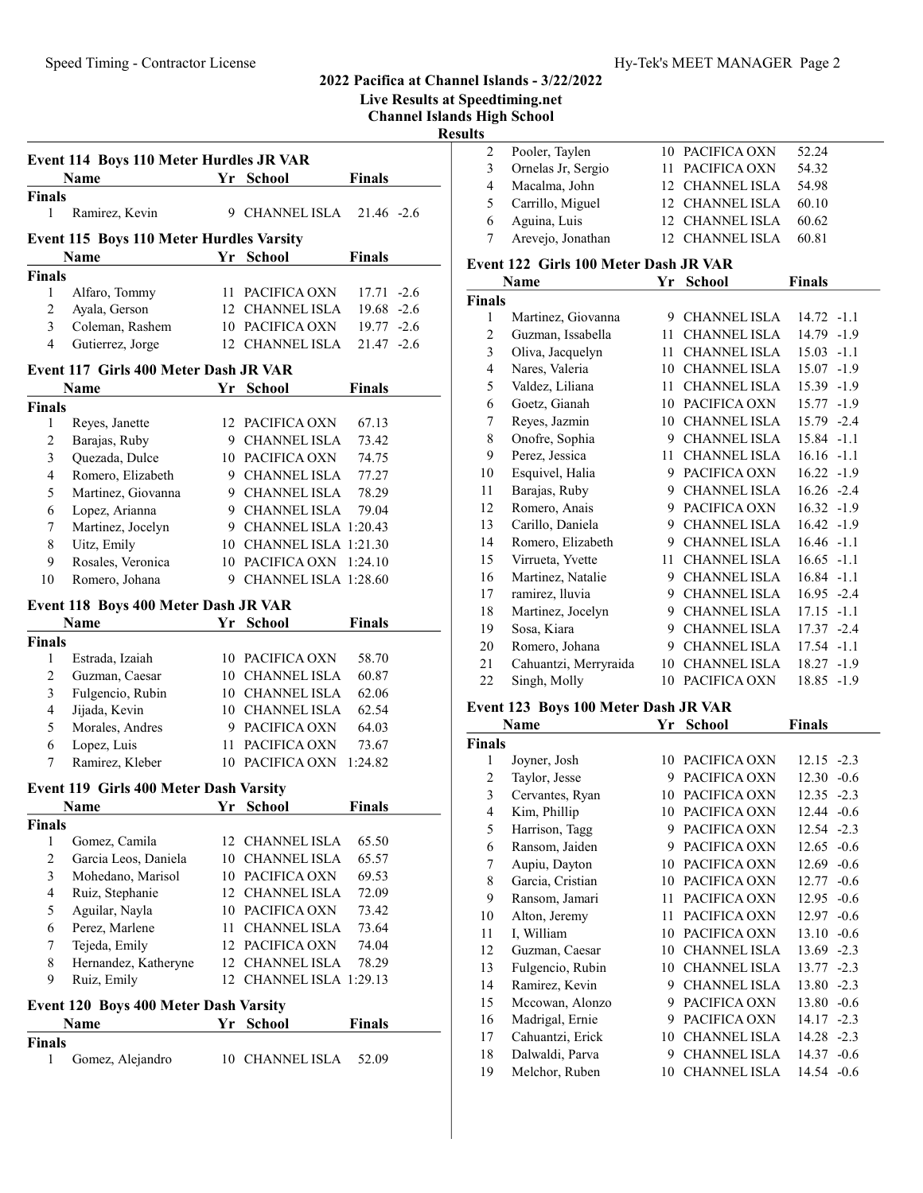| Live Results at Speedtiming.net |  |  |  |
|---------------------------------|--|--|--|

Channel Islands High School

Results

|                         | Event 114 Boys 110 Meter Hurdles JR VAR  |    |                         |               |  |
|-------------------------|------------------------------------------|----|-------------------------|---------------|--|
|                         | <b>Name</b>                              |    | Yr School               | <b>Finals</b> |  |
| <b>Finals</b>           |                                          |    |                         |               |  |
| 1                       | Ramirez, Kevin                           |    | 9 CHANNEL ISLA          | $21.46 -2.6$  |  |
|                         | Event 115 Boys 110 Meter Hurdles Varsity |    |                         |               |  |
|                         | Name                                     |    | Yr School               | <b>Finals</b> |  |
| <b>Finals</b>           |                                          |    |                         |               |  |
| 1                       | Alfaro, Tommy                            |    | 11 PACIFICA OXN         | 17.71 -2.6    |  |
| 2                       | Ayala, Gerson                            |    | 12 CHANNEL ISLA         | $19.68 - 2.6$ |  |
| 3                       | Coleman, Rashem                          |    | 10 PACIFICA OXN         | $19.77 - 2.6$ |  |
| 4                       | Gutierrez, Jorge                         |    | 12 CHANNEL ISLA         | $21.47 - 2.6$ |  |
|                         | Event 117 Girls 400 Meter Dash JR VAR    |    |                         |               |  |
|                         | Name                                     |    | Yr School               | <b>Finals</b> |  |
| <b>Finals</b>           |                                          |    |                         |               |  |
| 1                       | Reyes, Janette                           |    | 12 PACIFICA OXN         | 67.13         |  |
| 2                       | Barajas, Ruby                            |    | 9 CHANNEL ISLA          | 73.42         |  |
| 3                       | Quezada, Dulce                           |    | 10 PACIFICA OXN         | 74.75         |  |
| $\overline{\mathbf{4}}$ | Romero, Elizabeth                        |    | 9 CHANNEL ISLA          | 77.27         |  |
| 5                       | Martinez, Giovanna                       |    | 9 CHANNEL ISLA          | 78.29         |  |
| 6                       | Lopez, Arianna                           |    | 9 CHANNEL ISLA          | 79.04         |  |
| 7                       | Martinez, Jocelyn                        |    | 9 CHANNEL ISLA 1:20.43  |               |  |
| 8                       | Uitz, Emily                              |    | 10 CHANNEL ISLA 1:21.30 |               |  |
| 9                       | Rosales, Veronica                        |    | 10 PACIFICA OXN 1:24.10 |               |  |
| 10                      | Romero, Johana                           |    | 9 CHANNEL ISLA 1:28.60  |               |  |
|                         | Event 118 Boys 400 Meter Dash JR VAR     |    |                         |               |  |
|                         | Name                                     |    | Yr School               | <b>Finals</b> |  |
| <b>Finals</b>           |                                          |    |                         |               |  |
| 1                       | Estrada, Izaiah                          |    | 10 PACIFICA OXN         | 58.70         |  |
| 2                       | Guzman, Caesar                           |    | 10 CHANNEL ISLA         | 60.87         |  |
| 3                       | Fulgencio, Rubin                         |    | 10 CHANNEL ISLA         | 62.06         |  |
| $\overline{\mathbf{4}}$ | Jijada, Kevin                            |    | 10 CHANNEL ISLA         | 62.54         |  |
| 5                       | Morales, Andres                          |    | 9 PACIFICA OXN          | 64.03         |  |
| 6                       | Lopez, Luis                              |    | 11 PACIFICA OXN         | 73.67         |  |
| 7                       | Ramirez, Kleber                          |    | 10 PACIFICA OXN         | 1:24.82       |  |
|                         | Event 119 Girls 400 Meter Dash Varsity   |    |                         |               |  |
|                         | Name                                     |    | Yr School               | <b>Finals</b> |  |
| Finals                  |                                          |    |                         |               |  |
| 1                       | Gomez, Camila                            |    | 12 CHANNEL ISLA         | 65.50         |  |
| 2                       | Garcia Leos, Daniela                     | 10 | <b>CHANNEL ISLA</b>     | 65.57         |  |
| 3                       | Mohedano, Marisol                        |    | 10 PACIFICA OXN         | 69.53         |  |
| $\overline{4}$          | Ruiz, Stephanie                          |    | 12 CHANNEL ISLA         | 72.09         |  |
| 5                       | Aguilar, Nayla                           |    | 10 PACIFICA OXN         | 73.42         |  |
| 6                       | Perez, Marlene                           | 11 | <b>CHANNEL ISLA</b>     | 73.64         |  |
| 7                       | Tejeda, Emily                            | 12 | PACIFICA OXN            | 74.04         |  |
| 8                       | Hernandez, Katheryne                     |    | 12 CHANNEL ISLA         | 78.29         |  |
| 9                       | Ruiz, Emily                              | 12 | CHANNEL ISLA 1:29.13    |               |  |
|                         | Event 120 Boys 400 Meter Dash Varsity    |    |                         |               |  |
|                         | Name                                     | Yr | <b>School</b>           | <b>Finals</b> |  |
| <b>Finals</b>           |                                          |    |                         |               |  |
| 1                       | Gomez, Alejandro                         |    | 10 CHANNEL ISLA         | 52.09         |  |
|                         |                                          |    |                         |               |  |

|   | Pooler, Taylen     | 10 PACIFICA OXN | 52.24 |
|---|--------------------|-----------------|-------|
| 3 | Ornelas Jr, Sergio | 11 PACIFICA OXN | 54.32 |
| 4 | Macalma, John      | 12 CHANNEL ISLA | 54.98 |
| 5 | Carrillo, Miguel   | 12 CHANNEL ISLA | 60.10 |
| 6 | Aguina, Luis       | 12 CHANNEL ISLA | 60.62 |
|   | Arevejo, Jonathan  | 12 CHANNEL ISLA | 60.81 |
|   |                    |                 |       |

#### Event 122 Girls 100 Meter Dash JR VAR

|               | Name                  | Yr | <b>School</b>       | <b>Finals</b>   |
|---------------|-----------------------|----|---------------------|-----------------|
| <b>Finals</b> |                       |    |                     |                 |
| 1             | Martinez, Giovanna    | 9  | CHANNEL ISLA        | $14.72 - 1.1$   |
| 2             | Guzman, Issabella     | 11 | <b>CHANNEL ISLA</b> | 14.79<br>$-1.9$ |
| 3             | Oliva, Jacquelyn      | 11 | <b>CHANNEL ISLA</b> | 15.03<br>$-1.1$ |
| 4             | Nares, Valeria        | 10 | <b>CHANNEL ISLA</b> | $15.07 -1.9$    |
| 5             | Valdez, Liliana       | 11 | <b>CHANNEL ISLA</b> | 15.39<br>$-1.9$ |
| 6             | Goetz, Gianah         | 10 | PACIFICA OXN        | $15.77 - 1.9$   |
| 7             | Reyes, Jazmin         | 10 | <b>CHANNEL ISLA</b> | 15.79 -2.4      |
| 8             | Onofre, Sophia        | 9  | <b>CHANNEL ISLA</b> | 15.84 -1.1      |
| 9             | Perez, Jessica        | 11 | <b>CHANNEL ISLA</b> | $16.16 - 1.1$   |
| 10            | Esquivel, Halia       | 9  | PACIFICA OXN        | $16.22 - 1.9$   |
| 11            | Barajas, Ruby         | 9  | <b>CHANNEL ISLA</b> | $16.26 -2.4$    |
| 12            | Romero, Anais         | 9  | PACIFICA OXN        | $16.32 - 1.9$   |
| 13            | Carillo, Daniela      | 9  | CHANNEL ISLA        | $16.42 - 1.9$   |
| 14            | Romero, Elizabeth     | 9  | <b>CHANNEL ISLA</b> | $16.46 - 1.1$   |
| 15            | Virrueta, Yvette      | 11 | <b>CHANNEL ISLA</b> | $16.65 - 1.1$   |
| 16            | Martinez, Natalie     | 9  | <b>CHANNEL ISLA</b> | $16.84 - 1.1$   |
| 17            | ramirez, lluvia       | 9  | <b>CHANNEL ISLA</b> | $16.95 -2.4$    |
| 18            | Martinez, Jocelyn     | 9  | <b>CHANNEL ISLA</b> | 17.15 -1.1      |
| 19            | Sosa, Kiara           | 9  | <b>CHANNEL ISLA</b> | 17.37 -2.4      |
| 20            | Romero, Johana        | 9  | <b>CHANNEL ISLA</b> | 17.54<br>$-1.1$ |
| 21            | Cahuantzi, Merryraida | 10 | <b>CHANNEL ISLA</b> | 18.27<br>$-1.9$ |
| 22            | Singh, Molly          |    | 10 PACIFICA OXN     | 18.85 -1.9      |

#### Event 123 Boys 100 Meter Dash JR VAR

|        | Name             | Yr | <b>School</b>       | Finals          |
|--------|------------------|----|---------------------|-----------------|
| Finals |                  |    |                     |                 |
| 1      | Joyner, Josh     | 10 | PACIFICA OXN        | $12.15 -2.3$    |
| 2      | Taylor, Jesse    | 9  | PACIFICA OXN        | 12.30<br>$-0.6$ |
| 3      | Cervantes, Ryan  | 10 | PACIFICA OXN        | 12.35<br>$-2.3$ |
| 4      | Kim, Phillip     | 10 | PACIFICA OXN        | 12.44<br>$-0.6$ |
| 5      | Harrison, Tagg   | 9  | PACIFICA OXN        | 12.54<br>$-2.3$ |
| 6      | Ransom, Jaiden   | 9  | PACIFICA OXN        | $-0.6$<br>12.65 |
| 7      | Aupiu, Dayton    | 10 | PACIFICA OXN        | $-0.6$<br>12.69 |
| 8      | Garcia, Cristian | 10 | PACIFICA OXN        | 12.77<br>$-0.6$ |
| 9      | Ransom, Jamari   | 11 | PACIFICA OXN        | $-0.6$<br>12.95 |
| 10     | Alton, Jeremy    | 11 | PACIFICA OXN        | $-0.6$<br>12.97 |
| 11     | I, William       | 10 | PACIFICA OXN        | $-0.6$<br>13.10 |
| 12     | Guzman, Caesar   | 10 | <b>CHANNEL ISLA</b> | 13.69<br>$-2.3$ |
| 13     | Fulgencio, Rubin | 10 | <b>CHANNEL ISLA</b> | $13.77 - 2.3$   |
| 14     | Ramirez, Kevin   | 9  | <b>CHANNEL ISLA</b> | 13.80<br>$-2.3$ |
| 15     | Mccowan, Alonzo  | 9  | PACIFICA OXN        | 13.80<br>$-0.6$ |
| 16     | Madrigal, Ernie  | 9  | PACIFICA OXN        | 14.17<br>$-2.3$ |
| 17     | Cahuantzi, Erick | 10 | <b>CHANNEL ISLA</b> | 14.28<br>$-2.3$ |
| 18     | Dalwaldi, Parva  | 9  | <b>CHANNEL ISLA</b> | 14.37<br>$-0.6$ |
| 19     | Melchor, Ruben   | 10 | <b>CHANNEL ISLA</b> | 14.54<br>$-0.6$ |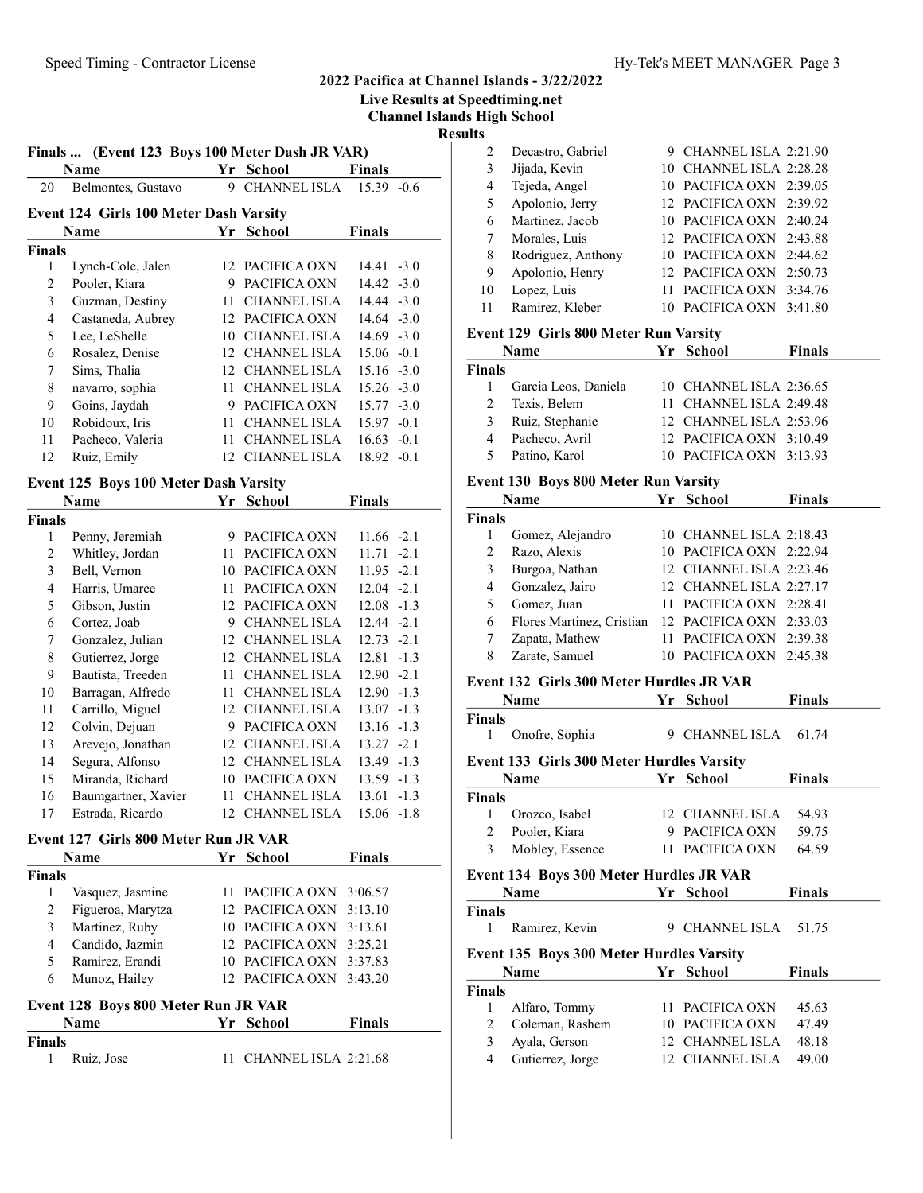Live Results at Speedtiming.net

Channel Islands High School

Results

|                | Finals  (Event 123 Boys 100 Meter Dash JR VAR) |    |                     |                 |  |  |  |  |
|----------------|------------------------------------------------|----|---------------------|-----------------|--|--|--|--|
|                | Name                                           | Yr | <b>School</b>       | <b>Finals</b>   |  |  |  |  |
| 20             | Belmontes, Gustavo                             | 9  | CHANNEL ISLA        | $15.39 -0.6$    |  |  |  |  |
|                | <b>Event 124 Girls 100 Meter Dash Varsity</b>  |    |                     |                 |  |  |  |  |
|                | <b>School</b><br><b>Finals</b><br>Name<br>Yr   |    |                     |                 |  |  |  |  |
| <b>Finals</b>  |                                                |    |                     |                 |  |  |  |  |
| 1              | Lynch-Cole, Jalen                              |    | 12 PACIFICA OXN     | $14.41 - 3.0$   |  |  |  |  |
| $\overline{2}$ | Pooler, Kiara                                  | 9  | PACIFICA OXN        | $-3.0$<br>14.42 |  |  |  |  |
| 3              | Guzman, Destiny                                | 11 | <b>CHANNEL ISLA</b> | $14.44 - 3.0$   |  |  |  |  |
| $\overline{4}$ | Castaneda, Aubrey                              | 12 | PACIFICA OXN        | $14.64 - 3.0$   |  |  |  |  |
| 5              | Lee, LeShelle                                  | 10 | CHANNEL ISLA        | $14.69 - 3.0$   |  |  |  |  |
| 6              | Rosalez, Denise                                | 12 | <b>CHANNEL ISLA</b> | $15.06 - 0.1$   |  |  |  |  |
| 7              | Sims, Thalia                                   | 12 | <b>CHANNEL ISLA</b> | $15.16 - 3.0$   |  |  |  |  |
| 8              | navarro, sophia                                | 11 | <b>CHANNEL ISLA</b> | $15.26 - 3.0$   |  |  |  |  |
| 9              | Goins, Jaydah                                  | 9  | PACIFICA OXN        | $15.77 - 3.0$   |  |  |  |  |
| 10             | Robidoux, Iris                                 | 11 | <b>CHANNEL ISLA</b> | $15.97 - 0.1$   |  |  |  |  |
| 11             | Pacheco, Valeria                               | 11 | <b>CHANNEL ISLA</b> | 16.63<br>$-0.1$ |  |  |  |  |
| 12             | Ruiz, Emily                                    | 12 | <b>CHANNEL ISLA</b> | $18.92 -0.1$    |  |  |  |  |
|                | Event 125 Boys 100 Meter Dash Varsity          |    |                     |                 |  |  |  |  |
|                | <b>Name</b>                                    | Yr | <b>School</b>       | <b>Finals</b>   |  |  |  |  |
| <b>Finals</b>  |                                                |    |                     |                 |  |  |  |  |
| 1              | Penny, Jeremiah                                | 9  | PACIFICA OXN        | $11.66 - 2.1$   |  |  |  |  |
| 2              | Whitley, Jordan                                | 11 | PACIFICA OXN        | 11.71<br>$-2.1$ |  |  |  |  |
| 3              | Bell, Vernon                                   | 10 | PACIFICA OXN        | 11.95<br>$-2.1$ |  |  |  |  |
| $\overline{4}$ | Harris, Umaree                                 | 11 | PACIFICA OXN        | $12.04 -2.1$    |  |  |  |  |
| 5              | Gibson, Justin                                 | 12 | PACIFICA OXN        | $12.08 - 1.3$   |  |  |  |  |
| 6              | Cortez, Joab                                   | 9  | CHANNEL ISLA        | $12.44 - 2.1$   |  |  |  |  |
| 7              | Gonzalez, Julian                               | 12 | <b>CHANNEL ISLA</b> | 12.73<br>$-2.1$ |  |  |  |  |
| 8              | Gutierrez, Jorge                               |    | 12 CHANNEL ISLA     | 12.81<br>$-1.3$ |  |  |  |  |
|                |                                                |    |                     |                 |  |  |  |  |

#### Event 125 Boys 100 Meter Dash Varsity

|              | гуаше               | rг | эспоог              | гицанз          |
|--------------|---------------------|----|---------------------|-----------------|
| <b>inals</b> |                     |    |                     |                 |
| 1            | Penny, Jeremiah     | 9  | PACIFICA OXN        | $11.66 - 2.1$   |
| 2            | Whitley, Jordan     | 11 | PACIFICA OXN        | 11.71<br>$-2.1$ |
| 3            | Bell, Vernon        | 10 | PACIFICA OXN        | $11.95 -2.1$    |
| 4            | Harris, Umaree      | 11 | PACIFICA OXN        | 12.04<br>$-2.1$ |
| 5            | Gibson, Justin      | 12 | PACIFICA OXN        | 12.08<br>$-1.3$ |
| 6            | Cortez, Joab        | 9  | <b>CHANNEL ISLA</b> | 12.44<br>$-2.1$ |
| 7            | Gonzalez, Julian    | 12 | <b>CHANNEL ISLA</b> | 12.73<br>$-2.1$ |
| 8            | Gutierrez, Jorge    | 12 | <b>CHANNEL ISLA</b> | 12.81<br>$-1.3$ |
| 9            | Bautista, Treeden   | 11 | <b>CHANNEL ISLA</b> | $-2.1$<br>12.90 |
| 10           | Barragan, Alfredo   | 11 | <b>CHANNEL ISLA</b> | 12.90<br>$-1.3$ |
| 11           | Carrillo, Miguel    | 12 | <b>CHANNEL ISLA</b> | 13.07<br>$-1.3$ |
| 12           | Colvin, Dejuan      | 9  | PACIFICA OXN        | $-1.3$<br>13.16 |
| 13           | Arevejo, Jonathan   | 12 | <b>CHANNEL ISLA</b> | $13.27 -2.1$    |
| 14           | Segura, Alfonso     | 12 | <b>CHANNEL ISLA</b> | 13.49<br>$-1.3$ |
| 15           | Miranda, Richard    | 10 | PACIFICA OXN        | 13.59 -1.3      |
| 16           | Baumgartner, Xavier | 11 | <b>CHANNEL ISLA</b> | 13.61<br>$-1.3$ |
| 17           | Estrada, Ricardo    | 12 | <b>CHANNEL ISLA</b> | $15.06 -1.8$    |

#### Event 127 Girls 800 Meter Run JR VAR

|        | Name              | Yr School               | <b>Finals</b> |
|--------|-------------------|-------------------------|---------------|
| Finals |                   |                         |               |
|        | Vasquez, Jasmine  | 11 PACIFICA OXN 3:06.57 |               |
| 2      | Figueroa, Marytza | 12 PACIFICA OXN 3:13.10 |               |
| 3      | Martinez, Ruby    | 10 PACIFICA OXN 3:13.61 |               |
| 4      | Candido, Jazmin   | 12 PACIFICA OXN 3:25.21 |               |
| 5      | Ramirez, Erandi   | 10 PACIFICA OXN 3:37.83 |               |
| 6      | Munoz, Hailey     | 12 PACIFICA OXN 3:43.20 |               |
|        |                   |                         |               |

# Event 128 Boys 800 Meter Run JR VAR

|               | Name       | Yr School               | <b>Finals</b> |
|---------------|------------|-------------------------|---------------|
| <b>Finals</b> |            |                         |               |
|               | Ruiz, Jose | 11 CHANNEL ISLA 2:21.68 |               |

| w  |                    |                         |  |
|----|--------------------|-------------------------|--|
| 2  | Decastro, Gabriel  | 9 CHANNEL ISLA 2:21.90  |  |
| 3  | Jijada, Kevin      | 10 CHANNEL ISLA 2:28.28 |  |
| 4  | Tejeda, Angel      | 10 PACIFICA OXN 2:39.05 |  |
| 5  | Apolonio, Jerry    | 12 PACIFICA OXN 2:39.92 |  |
| 6  | Martinez, Jacob    | 10 PACIFICA OXN 2:40.24 |  |
| 7  | Morales, Luis      | 12 PACIFICA OXN 2:43.88 |  |
| 8  | Rodriguez, Anthony | 10 PACIFICA OXN 2:44.62 |  |
| 9  | Apolonio, Henry    | 12 PACIFICA OXN 2:50.73 |  |
| 10 | Lopez, Luis        | 11 PACIFICA OXN 3:34.76 |  |
| 11 | Ramirez, Kleber    | PACIFICA OXN 3:41.80    |  |
|    |                    |                         |  |

# Event 129 Girls 800 Meter Run Varsity

|        | Name                 | Yr School               | <b>Finals</b> |
|--------|----------------------|-------------------------|---------------|
| Finals |                      |                         |               |
|        | Garcia Leos, Daniela | 10 CHANNEL ISLA 2:36.65 |               |
|        | Texis, Belem         | 11 CHANNEL ISLA 2:49.48 |               |
| 3      | Ruiz, Stephanie      | 12 CHANNEL ISLA 2:53.96 |               |
|        | Pacheco, Avril       | 12 PACIFICA OXN 3:10.49 |               |
|        | Patino, Karol        | 10 PACIFICA OXN 3:13.93 |               |
|        |                      |                         |               |

# Event 130 Boys 800 Meter Run Varsity

|               | <b>Name</b>               | Yr School               | <b>Finals</b> |
|---------------|---------------------------|-------------------------|---------------|
| <b>Finals</b> |                           |                         |               |
|               | Gomez, Alejandro          | 10 CHANNEL ISLA 2:18.43 |               |
| 2             | Razo, Alexis              | 10 PACIFICA OXN 2:22.94 |               |
| 3             | Burgoa, Nathan            | 12 CHANNEL ISLA 2:23.46 |               |
| 4             | Gonzalez, Jairo           | 12 CHANNEL ISLA 2:27.17 |               |
| 5             | Gomez, Juan               | 11 PACIFICA OXN 2:28.41 |               |
| 6             | Flores Martinez, Cristian | 12 PACIFICA OXN 2:33.03 |               |
|               | Zapata, Mathew            | 11 PACIFICA OXN 2:39.38 |               |
| 8             | Zarate, Samuel            | 10 PACIFICA OXN 2:45.38 |               |

# Event 132 Girls 300 Meter Hurdles JR VAR

|                | Name                                             |    | Yr School            | <b>Finals</b> |  |
|----------------|--------------------------------------------------|----|----------------------|---------------|--|
| <b>Finals</b>  |                                                  |    |                      |               |  |
| 1              | Onofre, Sophia                                   |    | 9 CHANNEL ISLA       | 61.74         |  |
|                | <b>Event 133 Girls 300 Meter Hurdles Varsity</b> |    |                      |               |  |
|                | Name                                             | Yr | <b>School</b>        | <b>Finals</b> |  |
| <b>Finals</b>  |                                                  |    |                      |               |  |
| 1              | Orozco, Isabel                                   |    | 12 CHANNEL ISLA      | 54.93         |  |
| 2              | Pooler, Kiara                                    | 9  | PACIFICA OXN         | 59.75         |  |
| $\mathcal{E}$  | Mobley, Essence                                  |    | 11 PACIFICA OXN      | 64.59         |  |
|                | Event 134 Boys 300 Meter Hurdles JR VAR          |    |                      |               |  |
|                | Name                                             | Yr | <b>School</b>        | Finals        |  |
| <b>Finals</b>  |                                                  |    |                      |               |  |
| 1              | Ramirez, Kevin                                   |    | 9 CHANNEL ISLA 51.75 |               |  |
|                | <b>Event 135 Boys 300 Meter Hurdles Varsity</b>  |    |                      |               |  |
|                | Name                                             | Yr | <b>School</b>        | <b>Finals</b> |  |
| <b>Finals</b>  |                                                  |    |                      |               |  |
| 1              | Alfaro, Tommy                                    |    | 11 PACIFICA OXN      | 45.63         |  |
|                |                                                  |    |                      |               |  |
| $\overline{c}$ | Coleman, Rashem                                  | 10 | PACIFICA OXN         | 47.49         |  |
| 3              | Ayala, Gerson                                    |    | 12 CHANNEL ISLA      | 48.18         |  |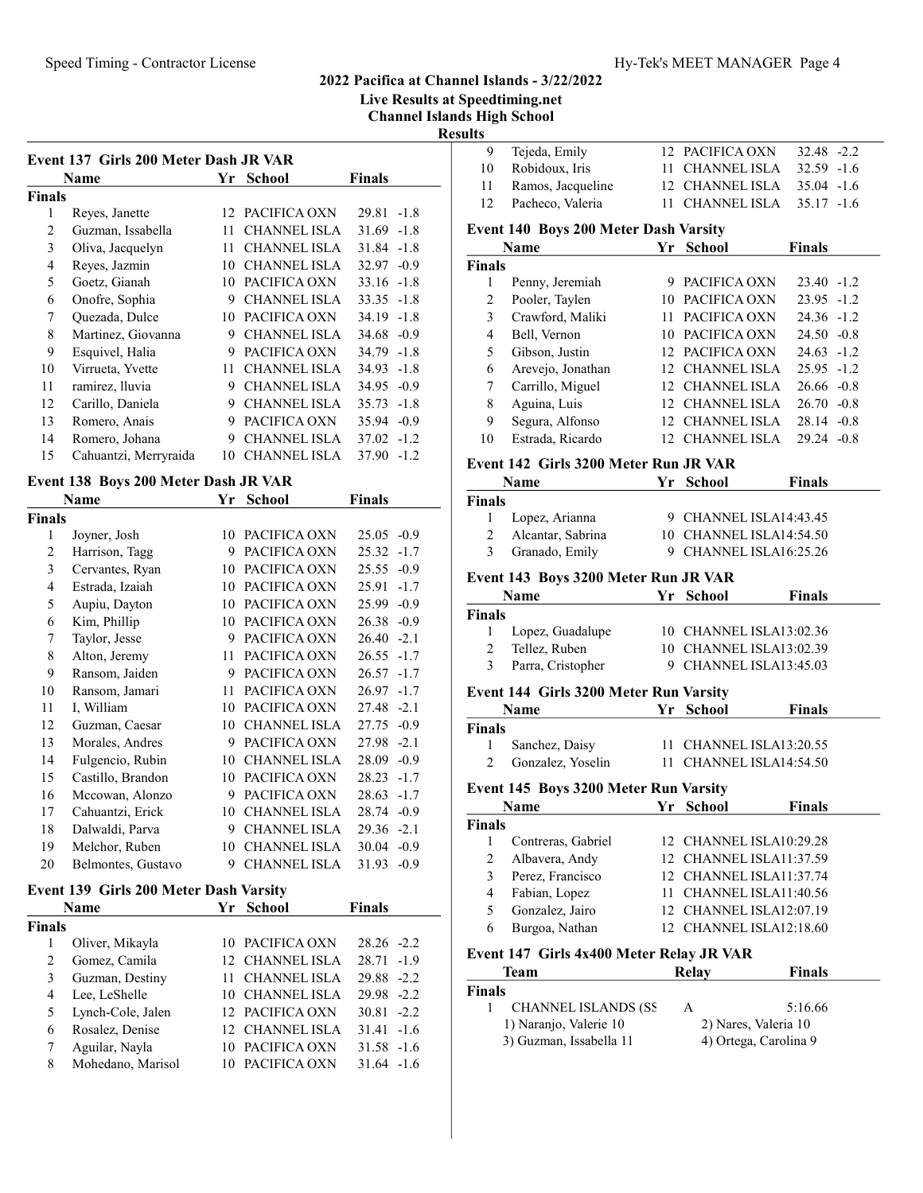Live Results at Speedtiming.net

Channel Islands High School Resu

|               | Name                  | Yr | School              | <b>Finals</b>   |
|---------------|-----------------------|----|---------------------|-----------------|
| <b>Finals</b> |                       |    |                     |                 |
| 1             | Reyes, Janette        |    | 12 PACIFICA OXN     | $-1.8$<br>29.81 |
| 2             | Guzman, Issabella     | 11 | <b>CHANNEL ISLA</b> | $31.69 - 1.8$   |
| 3             | Oliva, Jacquelyn      | 11 | <b>CHANNEL ISLA</b> | $31.84 - 1.8$   |
| 4             | Reyes, Jazmin         | 10 | <b>CHANNEL ISLA</b> | $32.97 - 0.9$   |
| 5             | Goetz, Gianah         | 10 | PACIFICA OXN        | $33.16 - 1.8$   |
| 6             | Onofre, Sophia        | 9  | <b>CHANNEL ISLA</b> | $33.35 -1.8$    |
| 7             | Quezada, Dulce        | 10 | PACIFICA OXN        | $34.19 - 1.8$   |
| 8             | Martinez, Giovanna    | 9  | <b>CHANNEL ISLA</b> | $34.68 - 0.9$   |
| 9             | Esquivel, Halia       | 9  | PACIFICA OXN        | $34.79 - 1.8$   |
| 10            | Virrueta, Yvette      | 11 | <b>CHANNEL ISLA</b> | 34.93<br>$-1.8$ |
| 11            | ramirez, lluvia       | 9  | <b>CHANNEL ISLA</b> | $34.95 - 0.9$   |
| 12            | Carillo, Daniela      | 9  | <b>CHANNEL ISLA</b> | $35.73 - 1.8$   |
| 13            | Romero, Anais         | 9  | PACIFICA OXN        | 35.94 - 0.9     |
| 14            | Romero, Johana        | 9  | <b>CHANNEL ISLA</b> | $37.02 -1.2$    |
| 15            | Cahuantzi, Merryraida | 10 | <b>CHANNEL ISLA</b> | 37.90<br>$-1.2$ |

## Event 138 Boys 200 Meter Dash JR VAR

|               | Name               | Yr | School              | Finals          |
|---------------|--------------------|----|---------------------|-----------------|
| <b>Finals</b> |                    |    |                     |                 |
| 1             | Joyner, Josh       | 10 | PACIFICA OXN        | 25.05<br>$-0.9$ |
| 2             | Harrison, Tagg     | 9  | PACIFICA OXN        | 25.32<br>$-1.7$ |
| 3             | Cervantes, Ryan    | 10 | PACIFICA OXN        | 25.55<br>$-0.9$ |
| 4             | Estrada, Izaiah    | 10 | PACIFICA OXN        | 25.91<br>$-1.7$ |
| 5             | Aupiu, Dayton      | 10 | PACIFICA OXN        | $-0.9$<br>25.99 |
| 6             | Kim, Phillip       | 10 | PACIFICA OXN        | 26.38<br>$-0.9$ |
| 7             | Taylor, Jesse      | 9  | PACIFICA OXN        | $-2.1$<br>26.40 |
| 8             | Alton, Jeremy      | 11 | PACIFICA OXN        | 26.55<br>$-1.7$ |
| 9             | Ransom, Jaiden     | 9  | PACIFICA OXN        | 26.57<br>$-1.7$ |
| 10            | Ransom, Jamari     | 11 | PACIFICA OXN        | 26.97<br>$-1.7$ |
| 11            | I, William         | 10 | PACIFICA OXN        | $-2.1$<br>27.48 |
| 12            | Guzman, Caesar     | 10 | <b>CHANNEL ISLA</b> | $-0.9$<br>27.75 |
| 13            | Morales, Andres    | 9  | PACIFICA OXN        | $-2.1$<br>27.98 |
| 14            | Fulgencio, Rubin   | 10 | <b>CHANNEL ISLA</b> | $-0.9$<br>28.09 |
| 15            | Castillo, Brandon  | 10 | PACIFICA OXN        | 28.23<br>$-1.7$ |
| 16            | Mccowan, Alonzo    | 9  | PACIFICA OXN        | 28.63<br>$-1.7$ |
| 17            | Cahuantzi, Erick   | 10 | <b>CHANNEL ISLA</b> | $-0.9$<br>28.74 |
| 18            | Dalwaldi, Parva    | 9  | <b>CHANNEL ISLA</b> | $-2.1$<br>29.36 |
| 19            | Melchor, Ruben     | 10 | <b>CHANNEL ISLA</b> | 30.04<br>$-0.9$ |
| 20            | Belmontes, Gustavo | 9  | <b>CHANNEL ISLA</b> | 31.93<br>$-0.9$ |

# Event 139 Girls 200 Meter Dash Varsity

|               | Name              | Yr - | <b>School</b>   | <b>Finals</b> |
|---------------|-------------------|------|-----------------|---------------|
| <b>Finals</b> |                   |      |                 |               |
|               | Oliver, Mikayla   |      | 10 PACIFICA OXN | $28.26 - 2.2$ |
| $\mathcal{L}$ | Gomez, Camila     |      | 12 CHANNEL ISLA | $28.71 - 1.9$ |
| 3             | Guzman, Destiny   |      | CHANNEL ISLA    | 29.88 -2.2    |
| 4             | Lee, LeShelle     |      | 10 CHANNEL ISLA | $29.98 - 2.2$ |
| 5             | Lynch-Cole, Jalen |      | 12 PACIFICA OXN | $30.81 - 2.2$ |
| 6             | Rosalez, Denise   |      | 12 CHANNEL ISLA | $31.41 - 1.6$ |
|               | Aguilar, Nayla    |      | 10 PACIFICA OXN | $31.58 - 1.6$ |
| 8             | Mohedano, Marisol |      | PACIFICA OXN    | $31.64 - 1.6$ |

| lts                     |                                               |    |                         |               |        |
|-------------------------|-----------------------------------------------|----|-------------------------|---------------|--------|
| 9                       | Tejeda, Emily                                 |    | 12 PACIFICA OXN         | 32.48 -2.2    |        |
| $10\,$                  | Robidoux, Iris                                |    | 11 CHANNEL ISLA         | 32.59 -1.6    |        |
| 11                      | Ramos, Jacqueline                             |    | 12 CHANNEL ISLA         | $35.04 -1.6$  |        |
| 12                      | Pacheco, Valeria                              |    | 11 CHANNEL ISLA         | $35.17 - 1.6$ |        |
|                         | <b>Event 140 Boys 200 Meter Dash Varsity</b>  |    |                         |               |        |
|                         | Name                                          |    | Yr School               | <b>Finals</b> |        |
| Finals                  |                                               |    |                         |               |        |
| 1                       | Penny, Jeremiah                               |    | 9 PACIFICA OXN          | 23.40 -1.2    |        |
| $\overline{c}$          | Pooler, Taylen                                |    | 10 PACIFICA OXN         | 23.95         | $-1.2$ |
| 3                       | Crawford, Maliki                              |    | 11 PACIFICA OXN         | $24.36 - 1.2$ |        |
| $\overline{\mathbf{4}}$ | Bell, Vernon                                  |    | 10 PACIFICA OXN         | $24.50 - 0.8$ |        |
| 5                       | Gibson, Justin                                |    | 12 PACIFICA OXN         | $24.63 - 1.2$ |        |
| 6                       | Arevejo, Jonathan                             |    | 12 CHANNEL ISLA         | $25.95 -1.2$  |        |
| 7                       | Carrillo, Miguel                              |    | 12 CHANNEL ISLA         | $26.66 - 0.8$ |        |
| $\,$ $\,$               | Aguina, Luis                                  |    | 12 CHANNEL ISLA         | $26.70 -0.8$  |        |
| 9                       | Segura, Alfonso                               |    | 12 CHANNEL ISLA         | $28.14 - 0.8$ |        |
| 10                      | Estrada, Ricardo                              |    | 12 CHANNEL ISLA         | $29.24 -0.8$  |        |
|                         | Event 142 Girls 3200 Meter Run JR VAR         |    |                         |               |        |
|                         | Name                                          | Yr | <b>School</b>           | <b>Finals</b> |        |
| Finals                  |                                               |    |                         |               |        |
| 1                       | Lopez, Arianna                                |    | 9 CHANNEL ISLA14:43.45  |               |        |
| $\overline{c}$          | Alcantar, Sabrina                             |    | 10 CHANNEL ISLA14:54.50 |               |        |
| 3                       | Granado, Emily                                |    | 9 CHANNEL ISLA16:25.26  |               |        |
|                         | Event 143 Boys 3200 Meter Run JR VAR          |    |                         |               |        |
|                         | <b>Name</b>                                   | Yr | <b>School</b>           | <b>Finals</b> |        |
| Finals                  |                                               |    |                         |               |        |
| 1                       | Lopez, Guadalupe                              |    | 10 CHANNEL ISLA13:02.36 |               |        |
| 2                       | Tellez, Ruben                                 |    | 10 CHANNEL ISLA13:02.39 |               |        |
| 3                       | Parra, Cristopher                             |    | 9 CHANNEL ISLA13:45.03  |               |        |
|                         | <b>Event 144 Girls 3200 Meter Run Varsity</b> |    |                         |               |        |
|                         | <b>Name</b>                                   | Yr | <b>School</b>           | <b>Finals</b> |        |
| Finals                  |                                               |    |                         |               |        |
| 1                       | Sanchez, Daisy                                |    | 11 CHANNEL ISLA13:20.55 |               |        |
| $\mathfrak{2}$          | Gonzalez, Yoselin                             |    | 11 CHANNEL ISLA14:54.50 |               |        |
|                         | <b>Event 145 Boys 3200 Meter Run Varsity</b>  |    |                         |               |        |
|                         | Name                                          | Υr | School                  | Finals        |        |
| Finals                  |                                               |    |                         |               |        |
| 1                       | Contreras, Gabriel                            |    | 12 CHANNEL ISLA10:29.28 |               |        |
| $\overline{c}$          | Albavera, Andy                                |    | 12 CHANNEL ISLA11:37.59 |               |        |
| 3                       | Perez, Francisco                              |    | 12 CHANNEL ISLA11:37.74 |               |        |
| $\overline{4}$          | Fabian, Lopez                                 |    | 11 CHANNEL ISLA11:40.56 |               |        |
| 5                       | Gonzalez, Jairo                               |    | 12 CHANNEL ISLA12:07.19 |               |        |
| 6                       | Burgoa, Nathan                                |    | 12 CHANNEL ISLA12:18.60 |               |        |
|                         | Event 147 Girls 4x400 Meter Relay JR VAR      |    |                         |               |        |
|                         | <b>Team</b>                                   |    | <b>Relay</b>            | <b>Finals</b> |        |
| Finals                  |                                               |    |                         |               |        |
| 1                       | <b>CHANNEL ISLANDS (SS</b>                    |    | A                       | 5:16.66       |        |
|                         | 1) Naranjo, Valerie 10                        |    | 2) Nares, Valeria 10    |               |        |
|                         | 3) Guzman, Issabella 11                       |    | 4) Ortega, Carolina 9   |               |        |
|                         |                                               |    |                         |               |        |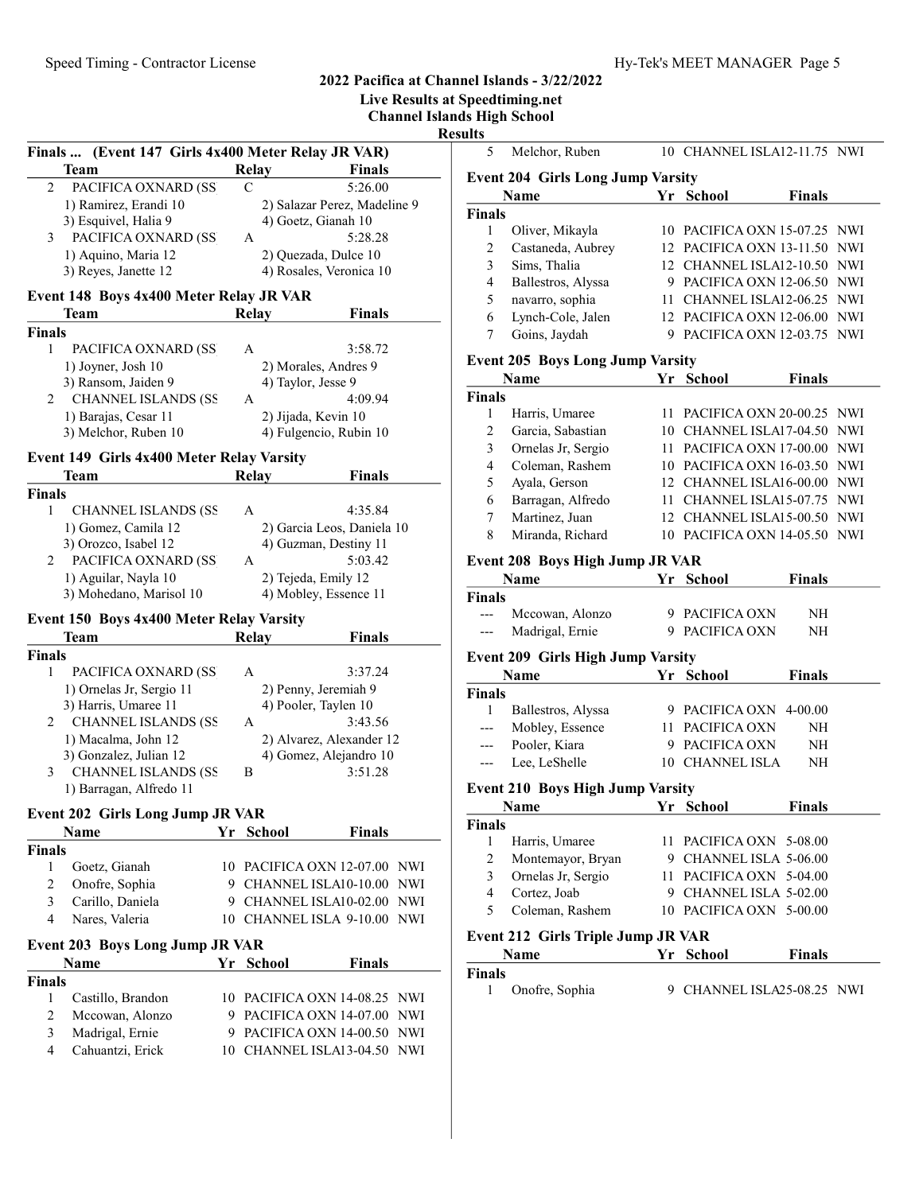Live Results at Speedtiming.net

Channel Islands High School

Result

|               | Finals  (Event 147 Girls 4x400 Meter Relay JR VAR) |    |              |                                               |                              |            |
|---------------|----------------------------------------------------|----|--------------|-----------------------------------------------|------------------------------|------------|
|               | <b>Team</b>                                        |    | Relay        |                                               | <b>Finals</b>                |            |
| 2             | PACIFICA OXNARD (SS                                |    | C            |                                               | 5:26.00                      |            |
|               | 1) Ramirez, Erandi 10                              |    |              |                                               | 2) Salazar Perez, Madeline 9 |            |
|               | 3) Esquivel, Halia 9                               |    |              | 4) Goetz, Gianah 10                           |                              |            |
| 3             | PACIFICA OXNARD (SS                                |    | A            |                                               | 5:28.28                      |            |
|               | 1) Aquino, Maria 12                                |    |              | 2) Quezada, Dulce 10                          |                              |            |
|               | 3) Reyes, Janette 12                               |    |              | 4) Rosales, Veronica 10                       |                              |            |
|               | Event 148 Boys 4x400 Meter Relay JR VAR            |    |              |                                               |                              |            |
|               | Team                                               |    | <b>Relay</b> |                                               | <b>Finals</b>                |            |
| <b>Finals</b> |                                                    |    |              |                                               |                              |            |
| 1             | PACIFICA OXNARD (SS                                |    | А            |                                               | 3:58.72                      |            |
|               | 1) Joyner, Josh 10                                 |    |              | 2) Morales, Andres 9                          |                              |            |
|               | 3) Ransom, Jaiden 9                                |    |              | 4) Taylor, Jesse 9                            |                              |            |
| 2             | <b>CHANNEL ISLANDS (SS</b>                         |    | А            |                                               | 4:09.94                      |            |
|               | 1) Barajas, Cesar 11<br>3) Melchor, Ruben 10       |    |              | 2) Jijada, Kevin 10<br>4) Fulgencio, Rubin 10 |                              |            |
|               |                                                    |    |              |                                               |                              |            |
|               | Event 149 Girls 4x400 Meter Relay Varsity          |    |              |                                               |                              |            |
|               | Team                                               |    | <b>Relay</b> |                                               | <b>Finals</b>                |            |
| <b>Finals</b> |                                                    |    |              |                                               |                              |            |
| 1             | <b>CHANNEL ISLANDS (SS</b>                         |    | A            |                                               | 4:35.84                      |            |
|               | 1) Gomez, Camila 12<br>3) Orozco, Isabel 12        |    |              | 4) Guzman, Destiny 11                         | 2) Garcia Leos, Daniela 10   |            |
| 2             | PACIFICA OXNARD (SS)                               |    | A            |                                               | 5:03.42                      |            |
|               | 1) Aguilar, Nayla 10                               |    |              | 2) Tejeda, Emily 12                           |                              |            |
|               | 3) Mohedano, Marisol 10                            |    |              | 4) Mobley, Essence 11                         |                              |            |
|               |                                                    |    |              |                                               |                              |            |
|               | Event 150 Boys 4x400 Meter Relay Varsity<br>Team   |    | <b>Relay</b> |                                               | <b>Finals</b>                |            |
| <b>Finals</b> |                                                    |    |              |                                               |                              |            |
| 1             | PACIFICA OXNARD (SS                                |    | A            |                                               | 3:37.24                      |            |
|               | 1) Ornelas Jr, Sergio 11                           |    |              | 2) Penny, Jeremiah 9                          |                              |            |
|               | 3) Harris, Umaree 11                               |    |              | 4) Pooler, Taylen 10                          |                              |            |
| 2             | <b>CHANNEL ISLANDS (SS</b>                         |    | А            |                                               | 3:43.56                      |            |
|               | 1) Macalma, John 12                                |    |              |                                               | 2) Alvarez, Alexander 12     |            |
|               | 3) Gonzalez, Julian 12                             |    |              |                                               | 4) Gomez, Alejandro 10       |            |
| 3             | <b>CHANNEL ISLANDS (SS</b>                         |    | Β            |                                               | 3:51.28                      |            |
|               | 1) Barragan, Alfredo 11                            |    |              |                                               |                              |            |
|               | <b>Event 202 Girls Long Jump JR VAR</b>            |    |              |                                               |                              |            |
|               | Name                                               |    | Yr School    |                                               | Finals                       |            |
| Finals        |                                                    |    |              |                                               |                              |            |
| 1             | Goetz, Gianah                                      |    |              | 10 PACIFICA OXN 12-07.00                      |                              | <b>NWI</b> |
| 2             | Onofre, Sophia                                     |    |              | 9 CHANNEL ISLA10-10.00                        |                              | NWI        |
| 3             | Carillo, Daniela                                   |    |              | 9 CHANNEL ISLA10-02.00                        |                              | NWI        |
| 4             | Nares, Valeria                                     |    |              | 10 CHANNEL ISLA 9-10.00                       |                              | NWI        |
|               | <b>Event 203 Boys Long Jump JR VAR</b>             |    |              |                                               |                              |            |
|               | Name                                               | Yr | School       |                                               | Finals                       |            |
| <b>Finals</b> |                                                    |    |              |                                               |                              |            |
| 1             | Castillo, Brandon                                  |    |              | 10 PACIFICA OXN 14-08.25                      |                              | NWI        |
| 2             | Mccowan, Alonzo                                    |    |              | 9 PACIFICA OXN 14-07.00                       |                              | NWI        |
| 3             | Madrigal, Ernie                                    |    |              | 9 PACIFICA OXN 14-00.50                       |                              | NWI        |
| 4             | Cahuantzi, Erick                                   |    |              | 10 CHANNEL ISLA13-04.50                       |                              | <b>NWI</b> |
|               |                                                    |    |              |                                               |                              |            |

| ults           |                                           |      |                                |            |
|----------------|-------------------------------------------|------|--------------------------------|------------|
| 5              | Melchor, Ruben                            |      | 10 CHANNEL ISLA12-11.75 NWI    |            |
|                | <b>Event 204 Girls Long Jump Varsity</b>  |      |                                |            |
|                | Name                                      |      | Yr School<br><b>Finals</b>     |            |
| <b>Finals</b>  |                                           |      |                                |            |
| 1              | Oliver, Mikayla                           |      | 10 PACIFICA OXN 15-07.25       | <b>NWI</b> |
| 2              | Castaneda, Aubrey                         |      | 12 PACIFICA OXN 13-11.50       | <b>NWI</b> |
| 3              | Sims, Thalia                              |      | 12 CHANNEL ISLA12-10.50        | NWI        |
| 4              | Ballestros, Alyssa                        |      | 9 PACIFICA OXN 12-06.50        | NWI        |
| 5              | navarro, sophia                           | 11   | CHANNEL ISLA12-06.25           | NWI        |
| 6              | Lynch-Cole, Jalen                         |      | 12 PACIFICA OXN 12-06.00       | <b>NWI</b> |
| 7              | Goins, Jaydah                             |      | 9 PACIFICA OXN 12-03.75        | NWI        |
|                |                                           |      |                                |            |
|                | <b>Event 205 Boys Long Jump Varsity</b>   |      |                                |            |
|                | <b>Name</b>                               | Yr   | <b>Finals</b><br>School        |            |
| <b>Finals</b>  |                                           |      |                                |            |
| 1              | Harris, Umaree                            |      | 11 PACIFICA OXN 20-00.25       | NWI        |
| 2              | Garcia, Sabastian                         |      | 10 CHANNEL ISLA17-04.50        | NWI        |
| 3              | Ornelas Jr, Sergio                        |      | 11 PACIFICA OXN 17-00.00       | <b>NWI</b> |
| 4              | Coleman, Rashem                           |      | 10 PACIFICA OXN 16-03.50       | <b>NWI</b> |
| 5              | Ayala, Gerson                             |      | 12 CHANNEL ISLA16-00.00        | <b>NWI</b> |
| 6              | Barragan, Alfredo                         | 11 - | CHANNEL ISLA15-07.75           | <b>NWI</b> |
| 7              | Martinez, Juan                            |      | 12 CHANNEL ISLA15-00.50        | NWI        |
| 8              | Miranda, Richard                          |      | 10 PACIFICA OXN 14-05.50       | NWI        |
|                |                                           |      |                                |            |
|                | Event 208 Boys High Jump JR VAR           |      |                                |            |
|                | <b>Name</b>                               | Yr   | <b>Finals</b><br><b>School</b> |            |
| <b>Finals</b>  |                                           |      |                                |            |
| $---$          | Mccowan, Alonzo                           |      | 9 PACIFICA OXN<br>NH           |            |
| ---            | Madrigal, Ernie                           |      | 9 PACIFICA OXN<br>NΗ           |            |
|                | <b>Event 209 Girls High Jump Varsity</b>  |      |                                |            |
|                | <b>Name</b>                               | Yr   | Finals<br><b>School</b>        |            |
| <b>Finals</b>  |                                           |      |                                |            |
| 1              | Ballestros, Alyssa                        |      | 9 PACIFICA OXN<br>4-00.00      |            |
| $---$          | Mobley, Essence                           |      | 11 PACIFICA OXN<br>NH          |            |
| ---            | Pooler, Kiara                             |      | 9 PACIFICA OXN<br>NH           |            |
| ---            | Lee, LeShelle                             |      | 10 CHANNEL ISLA<br>NH          |            |
|                | <b>Event 210 Boys High Jump Varsity</b>   |      |                                |            |
|                |                                           |      |                                |            |
|                | Name Yr School                            |      | Finals                         |            |
| Finals         |                                           |      |                                |            |
| $\mathbf{1}$   | Harris, Umaree                            | 11 - | PACIFICA OXN 5-08.00           |            |
| 2              | Montemayor, Bryan                         |      | 9 CHANNEL ISLA 5-06.00         |            |
| 3              | Ornelas Jr, Sergio                        |      | 11 PACIFICA OXN 5-04.00        |            |
| $\overline{4}$ | Cortez, Joab                              | 9.   | CHANNEL ISLA 5-02.00           |            |
| 5              | Coleman, Rashem                           |      | 10 PACIFICA OXN 5-00.00        |            |
|                | <b>Event 212 Girls Triple Jump JR VAR</b> |      |                                |            |
|                | Name                                      | Yr   | <b>School</b><br><b>Finals</b> |            |
| <b>Finals</b>  |                                           |      |                                |            |
| 1              | Onofre, Sophia                            |      | 9 CHANNEL ISLA25-08.25 NWI     |            |
|                |                                           |      |                                |            |
|                |                                           |      |                                |            |
|                |                                           |      |                                |            |
|                |                                           |      |                                |            |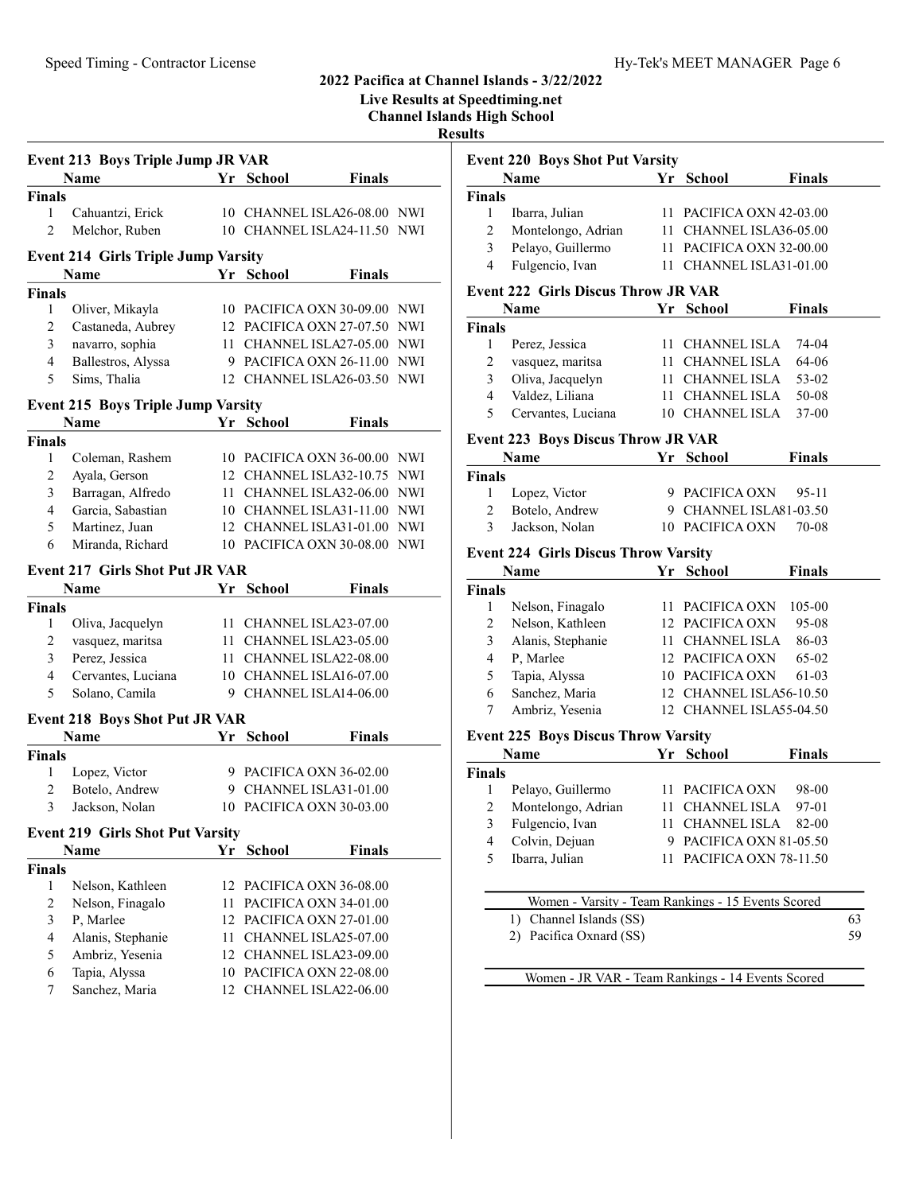Live Results at Speedtiming.net

Channel Islands High School

#### Results

Finals

Finals

Finals

Finals

Event 220 Boys Shot Put Varsity

Event 222 Girls Discus Throw JR VAR

|                | <b>Event 213 Boys Triple Jump JR VAR</b>   |    |                              |               |            |
|----------------|--------------------------------------------|----|------------------------------|---------------|------------|
|                | <b>Name</b>                                | Yr | <b>School</b>                | <b>Finals</b> |            |
| <b>Finals</b>  |                                            |    |                              |               |            |
| 1              | Cahuantzi, Erick                           |    | 10 CHANNEL ISLA26-08.00 NWI  |               |            |
| $\overline{2}$ | Melchor, Ruben                             |    | 10 CHANNEL ISLA24-11.50 NWI  |               |            |
|                | <b>Event 214 Girls Triple Jump Varsity</b> |    |                              |               |            |
|                | Name                                       |    | Yr School                    | <b>Finals</b> |            |
| <b>Finals</b>  |                                            |    |                              |               |            |
| 1              | Oliver, Mikayla                            |    | 10 PACIFICA OXN 30-09.00 NWI |               |            |
| $\overline{c}$ | Castaneda, Aubrey                          |    | 12 PACIFICA OXN 27-07.50     |               | NWI        |
| 3              | navarro, sophia                            | 11 | CHANNEL ISLA27-05.00         |               | <b>NWI</b> |
| 4              | Ballestros, Alyssa                         |    | 9 PACIFICA OXN 26-11.00      |               | <b>NWI</b> |
| 5              | Sims, Thalia                               |    | 12 CHANNEL ISLA26-03.50      |               | <b>NWI</b> |
|                | <b>Event 215 Boys Triple Jump Varsity</b>  |    |                              |               |            |
|                | <b>Name</b>                                | Yr | School                       | <b>Finals</b> |            |
| <b>Finals</b>  |                                            |    |                              |               |            |
| 1              | Coleman, Rashem                            |    | 10 PACIFICA OXN 36-00.00 NWI |               |            |
| 2              | Ayala, Gerson                              |    | 12 CHANNEL ISLA32-10.75      |               | <b>NWI</b> |
| 3              | Barragan, Alfredo                          |    | 11 CHANNEL ISLA32-06.00 NWI  |               |            |
| $\overline{4}$ | Garcia, Sabastian                          |    | 10 CHANNEL ISLA31-11.00 NWI  |               |            |
| 5              | Martinez, Juan                             |    | 12 CHANNEL ISLA31-01.00      |               | NWI        |
| 6              | Miranda, Richard                           |    | 10 PACIFICA OXN 30-08.00     |               | NWI        |
|                | <b>Event 217 Girls Shot Put JR VAR</b>     |    |                              |               |            |
|                | <b>Name</b>                                |    | Yr School                    | <b>Finals</b> |            |
| <b>Finals</b>  |                                            |    |                              |               |            |
| 1              | Oliva, Jacquelyn                           |    | 11 CHANNEL ISLA23-07.00      |               |            |
| $\overline{c}$ | vasquez, maritsa                           |    | 11 CHANNEL ISLA23-05.00      |               |            |
| 3              | Perez, Jessica                             |    | 11 CHANNEL ISLA22-08.00      |               |            |
| 4              | Cervantes, Luciana                         |    | 10 CHANNEL ISLA16-07.00      |               |            |
| 5              | Solano, Camila                             |    | 9 CHANNEL ISLA14-06.00       |               |            |
|                | <b>Event 218 Boys Shot Put JR VAR</b>      |    |                              |               |            |
|                | <b>Name</b>                                | Yr | <b>School</b>                | <b>Finals</b> |            |
| <b>Finals</b>  |                                            |    |                              |               |            |
| 1              | Lopez, Victor                              |    | 9 PACIFICA OXN 36-02.00      |               |            |
| 2              | Botelo, Andrew                             |    | 9 CHANNEL ISLA31-01.00       |               |            |
| 3              | Jackson, Nolan                             |    | 10 PACIFICA OXN 30-03.00     |               |            |
|                | <b>Event 219 Girls Shot Put Varsity</b>    |    |                              |               |            |
|                | Name                                       |    | Yr School                    | <b>Finals</b> |            |
| <b>Finals</b>  |                                            |    |                              |               |            |
| 1              | Nelson, Kathleen                           | 12 | PACIFICA OXN 36-08.00        |               |            |
| $\overline{c}$ | Nelson, Finagalo                           | 11 | PACIFICA OXN 34-01.00        |               |            |
| 3              | P, Marlee                                  | 12 | PACIFICA OXN 27-01.00        |               |            |
| $\overline{4}$ | Alanis, Stephanie                          | 11 | CHANNEL ISLA25-07.00         |               |            |
| 5              | Ambriz, Yesenia                            |    | 12 CHANNEL ISLA23-09.00      |               |            |
| 6              | Tapia, Alyssa                              | 10 | PACIFICA OXN 22-08.00        |               |            |

7 Sanchez, Maria 12 CHANNEL ISLA22-06.00

Event 223 Boys Discus Throw JR VAR Name  $Yr$  School Finals 1 Lopez, Victor 9 PACIFICA OXN 95-11 2 Botelo, Andrew 9 CHANNEL ISLA81-03.50 3 Jackson, Nolan 10 PACIFICA OXN 70-08 Event 224 Girls Discus Throw Varsity Name **Finals Finals Finals** 1 Nelson, Finagalo 11 PACIFICA OXN 105-00 2 Nelson, Kathleen 12 PACIFICA OXN 95-08 3 86-03 Alanis, Stephanie 11 CHANNEL ISLA 4 P, Marlee 12 PACIFICA OXN 65-02 5 Tapia, Alyssa 10 PACIFICA OXN 61-03 6 Sanchez, Maria 12 CHANNEL ISLA56-10.50 7 Ambriz, Yesenia 12 CHANNEL ISLA55-04.50

#### Event 225 Boys Discus Throw Varsity

| <b>Name</b>   |                                                    |     | Yr School                | <b>Finals</b> |    |
|---------------|----------------------------------------------------|-----|--------------------------|---------------|----|
| <b>Finals</b> |                                                    |     |                          |               |    |
| 1             | Pelayo, Guillermo                                  |     | 11 PACIFICA OXN          | 98-00         |    |
| 2             | Montelongo, Adrian                                 | 11  | CHANNEL ISLA             | $97-01$       |    |
| 3             | Fulgencio, Ivan                                    | 11. | CHANNEL ISLA             | 82-00         |    |
| 4             | Colvin, Dejuan                                     | 9   | PACIFICA OXN 81-05.50    |               |    |
| 5             | Ibarra, Julian                                     |     | 11 PACIFICA OXN 78-11.50 |               |    |
|               |                                                    |     |                          |               |    |
|               | Women - Varsity - Team Rankings - 15 Events Scored |     |                          |               |    |
|               | Channel Islands (SS)                               |     |                          |               | 63 |
|               | Pacifica Oxnard (SS)                               |     |                          |               | 59 |

Women - JR VAR - Team Rankings - 14 Events Scored

Name **Finals Property Property Property Property Property Property Property Property Property Property Property Property Property Property Property Property Property Property Property** 

1 Ibarra, Julian 11 PACIFICA OXN 42-03.00 2 Montelongo, Adrian 11 CHANNEL ISLA36-05.00 3 Pelayo, Guillermo 11 PACIFICA OXN 32-00.00 4 Fulgencio, Ivan 11 CHANNEL ISLA31-01.00

Name **Finals Property Finals** 

1 Perez, Jessica 11 CHANNEL ISLA 74-04 2 vasquez, maritsa 11 CHANNEL ISLA 64-06 3 Oliva, Jacquelyn 11 CHANNEL ISLA 53-02 4 50-08 Valdez, Liliana 11 CHANNEL ISLA 5 Cervantes, Luciana 10 CHANNEL ISLA 37-00